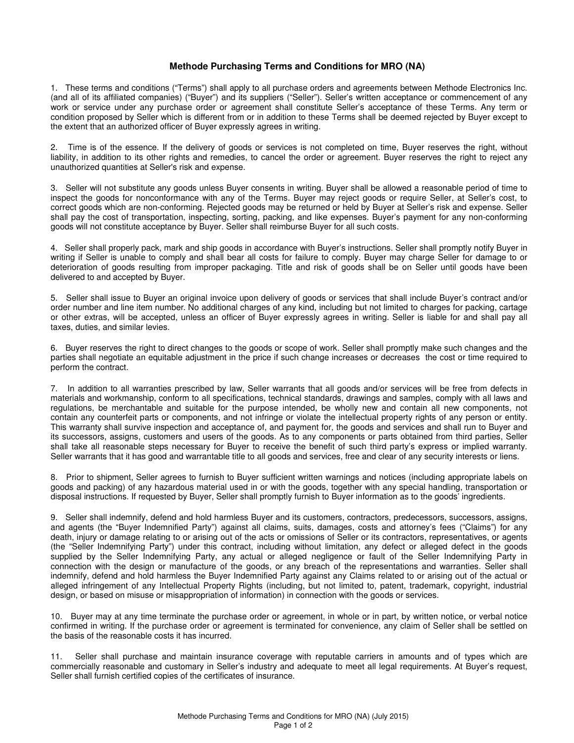## **Methode Purchasing Terms and Conditions for MRO (NA)**

1. These terms and conditions ("Terms") shall apply to all purchase orders and agreements between Methode Electronics Inc. (and all of its affiliated companies) ("Buyer") and its suppliers ("Seller"). Seller's written acceptance or commencement of any work or service under any purchase order or agreement shall constitute Seller's acceptance of these Terms. Any term or condition proposed by Seller which is different from or in addition to these Terms shall be deemed rejected by Buyer except to the extent that an authorized officer of Buyer expressly agrees in writing.

2. Time is of the essence. If the delivery of goods or services is not completed on time, Buyer reserves the right, without liability, in addition to its other rights and remedies, to cancel the order or agreement. Buyer reserves the right to reject any unauthorized quantities at Seller's risk and expense.

3. Seller will not substitute any goods unless Buyer consents in writing. Buyer shall be allowed a reasonable period of time to inspect the goods for nonconformance with any of the Terms. Buyer may reject goods or require Seller, at Seller's cost, to correct goods which are non-conforming. Rejected goods may be returned or held by Buyer at Seller's risk and expense. Seller shall pay the cost of transportation, inspecting, sorting, packing, and like expenses. Buyer's payment for any non-conforming goods will not constitute acceptance by Buyer. Seller shall reimburse Buyer for all such costs.

4. Seller shall properly pack, mark and ship goods in accordance with Buyer's instructions. Seller shall promptly notify Buyer in writing if Seller is unable to comply and shall bear all costs for failure to comply. Buyer may charge Seller for damage to or deterioration of goods resulting from improper packaging. Title and risk of goods shall be on Seller until goods have been delivered to and accepted by Buyer.

5. Seller shall issue to Buyer an original invoice upon delivery of goods or services that shall include Buyer's contract and/or order number and line item number. No additional charges of any kind, including but not limited to charges for packing, cartage or other extras, will be accepted, unless an officer of Buyer expressly agrees in writing. Seller is liable for and shall pay all taxes, duties, and similar levies.

6. Buyer reserves the right to direct changes to the goods or scope of work. Seller shall promptly make such changes and the parties shall negotiate an equitable adjustment in the price if such change increases or decreases the cost or time required to perform the contract.

7. In addition to all warranties prescribed by law, Seller warrants that all goods and/or services will be free from defects in materials and workmanship, conform to all specifications, technical standards, drawings and samples, comply with all laws and regulations, be merchantable and suitable for the purpose intended, be wholly new and contain all new components, not contain any counterfeit parts or components, and not infringe or violate the intellectual property rights of any person or entity. This warranty shall survive inspection and acceptance of, and payment for, the goods and services and shall run to Buyer and its successors, assigns, customers and users of the goods. As to any components or parts obtained from third parties, Seller shall take all reasonable steps necessary for Buyer to receive the benefit of such third party's express or implied warranty. Seller warrants that it has good and warrantable title to all goods and services, free and clear of any security interests or liens.

8. Prior to shipment, Seller agrees to furnish to Buyer sufficient written warnings and notices (including appropriate labels on goods and packing) of any hazardous material used in or with the goods, together with any special handling, transportation or disposal instructions. If requested by Buyer, Seller shall promptly furnish to Buyer information as to the goods' ingredients.

9. Seller shall indemnify, defend and hold harmless Buyer and its customers, contractors, predecessors, successors, assigns, and agents (the "Buyer Indemnified Party") against all claims, suits, damages, costs and attorney's fees ("Claims") for any death, injury or damage relating to or arising out of the acts or omissions of Seller or its contractors, representatives, or agents (the "Seller Indemnifying Party") under this contract, including without limitation, any defect or alleged defect in the goods supplied by the Seller Indemnifying Party, any actual or alleged negligence or fault of the Seller Indemnifying Party in connection with the design or manufacture of the goods, or any breach of the representations and warranties. Seller shall indemnify, defend and hold harmless the Buyer Indemnified Party against any Claims related to or arising out of the actual or alleged infringement of any Intellectual Property Rights (including, but not limited to, patent, trademark, copyright, industrial design, or based on misuse or misappropriation of information) in connection with the goods or services.

10. Buyer may at any time terminate the purchase order or agreement, in whole or in part, by written notice, or verbal notice confirmed in writing. If the purchase order or agreement is terminated for convenience, any claim of Seller shall be settled on the basis of the reasonable costs it has incurred.

11. Seller shall purchase and maintain insurance coverage with reputable carriers in amounts and of types which are commercially reasonable and customary in Seller's industry and adequate to meet all legal requirements. At Buyer's request, Seller shall furnish certified copies of the certificates of insurance.